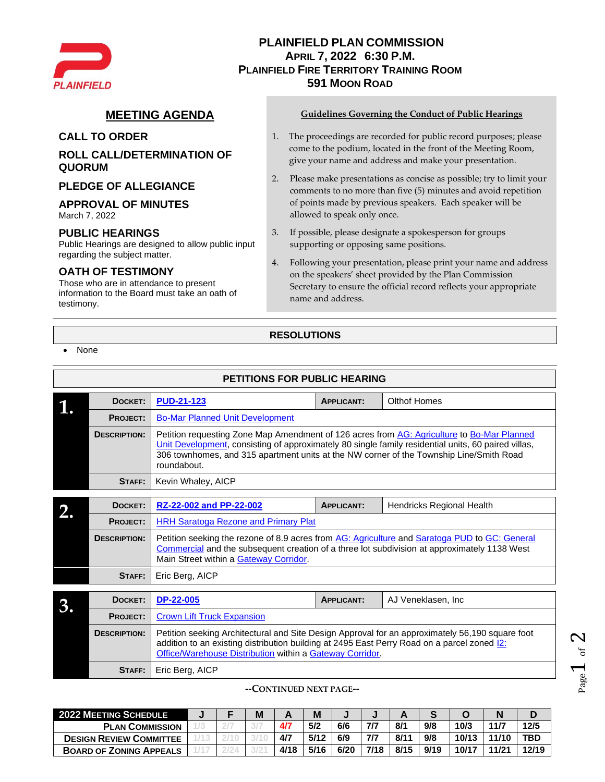

# **PLAINFIELD PLAN COMMISSION APRIL 7, 2022 6:30 P.M. PLAINFIELD FIRE TERRITORY TRAINING ROOM 591 MOON ROAD**

# **ROLL CALL/DETERMINATION OF QUORUM**

## **PLEDGE OF ALLEGIANCE**

## **APPROVAL OF MINUTES**

March 7, 2022

## **PUBLIC HEARINGS**

Public Hearings are designed to allow public input regarding the subject matter.

# **OATH OF TESTIMONY**

Those who are in attendance to present information to the Board must take an oath of testimony.

## **MEETING AGENDA Guidelines Governing the Conduct of Public Hearings**

- **CALL TO ORDER** 1. The proceedings are recorded for public record purposes; please come to the podium, located in the front of the Meeting Room, give your name and address and make your presentation.
	- 2. Please make presentations as concise as possible; try to limit your comments to no more than five (5) minutes and avoid repetition of points made by previous speakers. Each speaker will be allowed to speak only once.
	- 3. If possible, please designate a spokesperson for groups supporting or opposing same positions.
	- 4. Following your presentation, please print your name and address on the speakers' sheet provided by the Plan Commission Secretary to ensure the official record reflects your appropriate name and address.

# **RESOLUTIONS**

• None

| <b>PETITIONS FOR PUBLIC HEARING</b> |                     |                                                                                                                                                                                                                                                                                                             |                   |                           |  |  |  |  |  |  |  |  |
|-------------------------------------|---------------------|-------------------------------------------------------------------------------------------------------------------------------------------------------------------------------------------------------------------------------------------------------------------------------------------------------------|-------------------|---------------------------|--|--|--|--|--|--|--|--|
|                                     | DOCKET:             | <b>PUD-21-123</b>                                                                                                                                                                                                                                                                                           | <b>APPLICANT:</b> | Olthof Homes              |  |  |  |  |  |  |  |  |
|                                     | PROJECT:            | <b>Bo-Mar Planned Unit Development</b>                                                                                                                                                                                                                                                                      |                   |                           |  |  |  |  |  |  |  |  |
|                                     | <b>DESCRIPTION:</b> | Petition requesting Zone Map Amendment of 126 acres from AG: Agriculture to Bo-Mar Planned<br>Unit Development, consisting of approximately 80 single family residential units, 60 paired villas,<br>306 townhomes, and 315 apartment units at the NW corner of the Township Line/Smith Road<br>roundabout. |                   |                           |  |  |  |  |  |  |  |  |
|                                     | STAFF:              | Kevin Whaley, AICP                                                                                                                                                                                                                                                                                          |                   |                           |  |  |  |  |  |  |  |  |
|                                     | DOCKET:             | RZ-22-002 and PP-22-002                                                                                                                                                                                                                                                                                     | <b>APPLICANT:</b> | Hendricks Regional Health |  |  |  |  |  |  |  |  |
|                                     | <b>PROJECT:</b>     | <b>HRH Saratoga Rezone and Primary Plat</b>                                                                                                                                                                                                                                                                 |                   |                           |  |  |  |  |  |  |  |  |
|                                     | <b>DESCRIPTION:</b> | Petition seeking the rezone of 8.9 acres from AG: Agriculture and Saratoga PUD to GC: General<br>Commercial and the subsequent creation of a three lot subdivision at approximately 1138 West<br>Main Street within a Gateway Corridor.                                                                     |                   |                           |  |  |  |  |  |  |  |  |
|                                     | STAFF:              | Eric Berg, AICP                                                                                                                                                                                                                                                                                             |                   |                           |  |  |  |  |  |  |  |  |
|                                     | DOCKET:             | <b>DP-22-005</b>                                                                                                                                                                                                                                                                                            | <b>APPLICANT:</b> | AJ Veneklasen, Inc.       |  |  |  |  |  |  |  |  |
|                                     | <b>PROJECT:</b>     | <b>Crown Lift Truck Expansion</b>                                                                                                                                                                                                                                                                           |                   |                           |  |  |  |  |  |  |  |  |
|                                     | <b>DESCRIPTION:</b> | Petition seeking Architectural and Site Design Approval for an approximately 56,190 square foot<br>addition to an existing distribution building at 2495 East Perry Road on a parcel zoned [2]<br>Office/Warehouse Distribution within a Gateway Corridor.                                                  |                   |                           |  |  |  |  |  |  |  |  |

**STAFF:** Eric Berg, AICP

**--CONTINUED NEXT PAGE--**

| <b>2022 MEETING SCHEDULE</b>   |  | M |      | M    |      |      |      |      |       |       |       |
|--------------------------------|--|---|------|------|------|------|------|------|-------|-------|-------|
| <b>PLAN COMMISSION</b>         |  |   | 4/7  | 5/2  | 6/6  | 7/7  | 8/1  | 9/8  | 10/3  | 11/7  | 12/5  |
| <b>DESIGN REVIEW COMMITTEE</b> |  |   | 4/7  | 5/12 | 6/9  | 7/7  | 8/11 | 9/8  | 10/13 | 11/10 | TBD   |
| <b>BOARD OF ZONING APPEALS</b> |  |   | 4/18 | 5/16 | 6/20 | 7/18 | 8/15 | 9/19 | 10/17 | 11/21 | 12/19 |